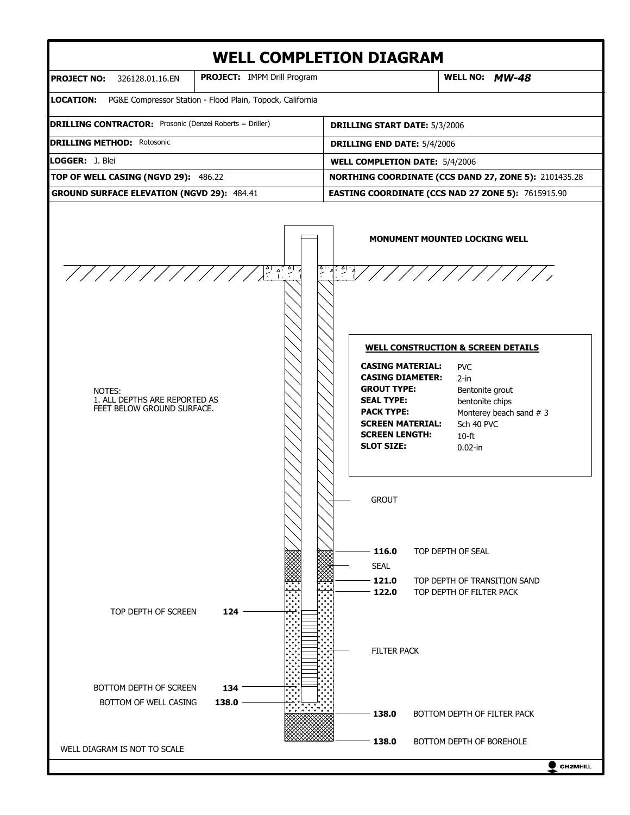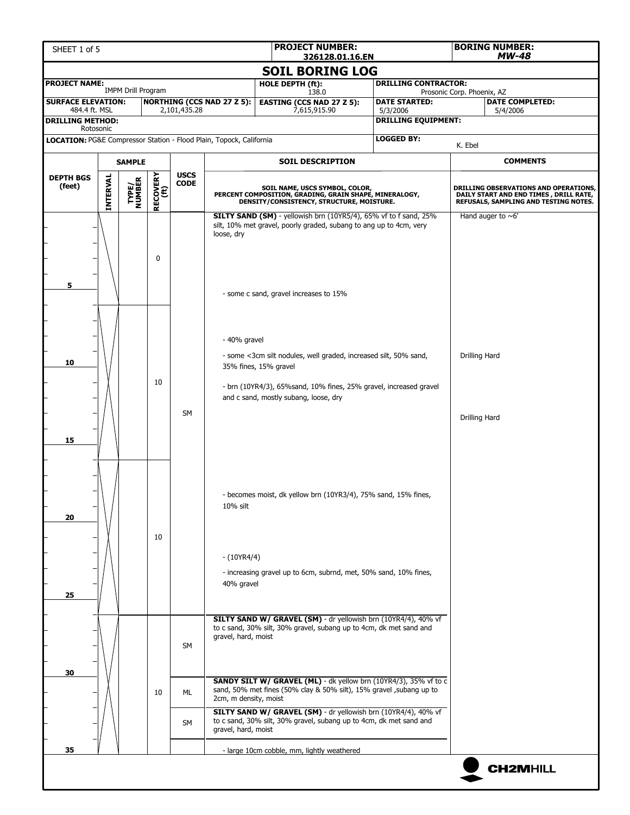| SHEET 1 of 5                                                        |                 |                           |                  |                            |                                                                                                                                                                                                                                                                                                         | <b>PROJECT NUMBER:</b>                                                                                                                                                           | <b>BORING NUMBER:</b><br>$MW-48$<br>326128.01.16.EN |                                        |                                |                                                                                                                          |  |
|---------------------------------------------------------------------|-----------------|---------------------------|------------------|----------------------------|---------------------------------------------------------------------------------------------------------------------------------------------------------------------------------------------------------------------------------------------------------------------------------------------------------|----------------------------------------------------------------------------------------------------------------------------------------------------------------------------------|-----------------------------------------------------|----------------------------------------|--------------------------------|--------------------------------------------------------------------------------------------------------------------------|--|
|                                                                     |                 |                           |                  |                            |                                                                                                                                                                                                                                                                                                         | <b>SOIL BORING LOG</b>                                                                                                                                                           |                                                     |                                        |                                |                                                                                                                          |  |
| <b>PROJECT NAME:</b>                                                |                 |                           |                  |                            |                                                                                                                                                                                                                                                                                                         | HOLE DEPTH (ft):                                                                                                                                                                 |                                                     | <b>DRILLING CONTRACTOR:</b>            |                                |                                                                                                                          |  |
| <b>SURFACE ELEVATION:</b>                                           |                 | <b>IMPM Drill Program</b> |                  |                            | <b>NORTHING (CCS NAD 27 Z 5):</b>                                                                                                                                                                                                                                                                       | 138.0<br><b>EASTING (CCS NAD 27 Z 5):</b>                                                                                                                                        |                                                     | <b>DATE STARTED:</b>                   | Prosonic Corp. Phoenix, AZ     | <b>DATE COMPLETED:</b>                                                                                                   |  |
| 484.4 ft. MSL<br><b>DRILLING METHOD:</b>                            |                 |                           |                  | 2,101,435.28               |                                                                                                                                                                                                                                                                                                         | 7,615,915.90                                                                                                                                                                     |                                                     | 5/3/2006<br><b>DRILLING EQUIPMENT:</b> |                                | 5/4/2006                                                                                                                 |  |
| Rotosonic                                                           |                 |                           |                  |                            |                                                                                                                                                                                                                                                                                                         |                                                                                                                                                                                  |                                                     | <b>LOGGED BY:</b>                      |                                |                                                                                                                          |  |
| LOCATION: PG&E Compressor Station - Flood Plain, Topock, California |                 |                           |                  |                            |                                                                                                                                                                                                                                                                                                         |                                                                                                                                                                                  |                                                     |                                        | K. Ebel                        |                                                                                                                          |  |
|                                                                     | <b>SAMPLE</b>   |                           |                  |                            |                                                                                                                                                                                                                                                                                                         | <b>SOIL DESCRIPTION</b>                                                                                                                                                          |                                                     |                                        |                                | <b>COMMENTS</b>                                                                                                          |  |
| <b>DEPTH BGS</b><br>(feet)                                          | <b>INTERVAL</b> | <b>TYPE/<br/>NUMBER</b>   | RECOVERY<br>(ft) | <b>USCS</b><br><b>CODE</b> |                                                                                                                                                                                                                                                                                                         | SOIL NAME, USCS SYMBOL, COLOR,<br>PERCENT COMPOSITION, GRADING, GRAIN SHAPE, MINERALOGY,<br>DENSITY/CONSISTENCY, STRUCTURE, MOISTURE.                                            |                                                     |                                        |                                | DRILLING OBSERVATIONS AND OPERATIONS,<br>DAILY START AND END TIMES, DRILL RATE,<br>REFUSALS, SAMPLING AND TESTING NOTES. |  |
| $\mathbf{0}$<br>5                                                   |                 |                           |                  |                            | loose, dry                                                                                                                                                                                                                                                                                              | SILTY SAND (SM) - yellowish brn (10YR5/4), 65% vf to f sand, 25%<br>silt, 10% met gravel, poorly graded, subang to ang up to 4cm, very<br>- some c sand, gravel increases to 15% |                                                     |                                        | Hand auger to $~6$ '           |                                                                                                                          |  |
| 10<br>15                                                            |                 |                           | 10               | <b>SM</b>                  | - 40% gravel<br>- some <3cm silt nodules, well graded, increased silt, 50% sand,<br>35% fines, 15% gravel<br>- brn (10YR4/3), 65% sand, 10% fines, 25% gravel, increased gravel<br>and c sand, mostly subang, loose, dry                                                                                |                                                                                                                                                                                  |                                                     |                                        | Drilling Hard<br>Drilling Hard |                                                                                                                          |  |
| 20<br>25                                                            |                 |                           | 10               |                            | 10% silt<br>$-(10YR4/4)$<br>40% gravel                                                                                                                                                                                                                                                                  | - becomes moist, dk yellow brn (10YR3/4), 75% sand, 15% fines,<br>- increasing gravel up to 6cm, subrnd, met, 50% sand, 10% fines,                                               |                                                     |                                        |                                |                                                                                                                          |  |
| 30                                                                  |                 |                           |                  | <b>SM</b>                  | SILTY SAND W/ GRAVEL (SM) - dr yellowish brn (10YR4/4), 40% vf<br>to c sand, 30% silt, 30% gravel, subang up to 4cm, dk met sand and<br>gravel, hard, moist<br>SANDY SILT W/ GRAVEL (ML) - dk yellow brn (10YR4/3), 35% vf to c<br>sand, 50% met fines (50% clay & 50% silt), 15% gravel , subang up to |                                                                                                                                                                                  |                                                     |                                        |                                |                                                                                                                          |  |
|                                                                     |                 |                           | 10               | <b>ML</b><br><b>SM</b>     | 2cm, m density, moist<br>gravel, hard, moist                                                                                                                                                                                                                                                            | SILTY SAND W/ GRAVEL (SM) - dr yellowish brn (10YR4/4), 40% vf<br>to c sand, 30% silt, 30% gravel, subang up to 4cm, dk met sand and                                             |                                                     |                                        |                                |                                                                                                                          |  |
| 35                                                                  |                 |                           |                  |                            |                                                                                                                                                                                                                                                                                                         | - large 10cm cobble, mm, lightly weathered                                                                                                                                       |                                                     |                                        |                                | <b>CH2MHILL</b>                                                                                                          |  |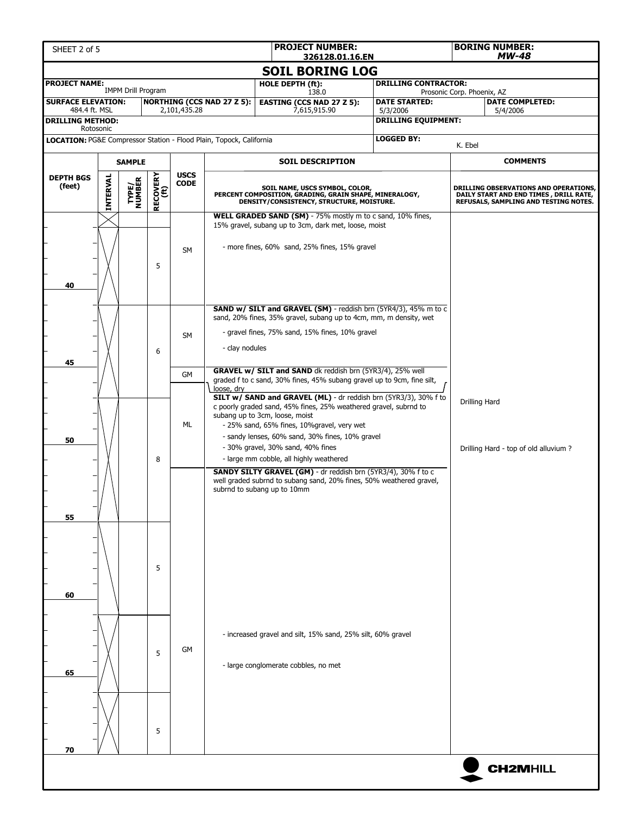| SHEET 2 of 5                                                                                                                       |                       |                 |                  |                            |                                                                     | <b>PROJECT NUMBER:</b><br>326128.01.16.EN                                                                                                                                                                                                                                                                                                                                                                                                                                                                                                                                                                       |                                        |                                                                                                                          | <b>BORING NUMBER:</b><br><b>MW-48</b> |  |  |
|------------------------------------------------------------------------------------------------------------------------------------|-----------------------|-----------------|------------------|----------------------------|---------------------------------------------------------------------|-----------------------------------------------------------------------------------------------------------------------------------------------------------------------------------------------------------------------------------------------------------------------------------------------------------------------------------------------------------------------------------------------------------------------------------------------------------------------------------------------------------------------------------------------------------------------------------------------------------------|----------------------------------------|--------------------------------------------------------------------------------------------------------------------------|---------------------------------------|--|--|
| <b>SOIL BORING LOG</b>                                                                                                             |                       |                 |                  |                            |                                                                     |                                                                                                                                                                                                                                                                                                                                                                                                                                                                                                                                                                                                                 |                                        |                                                                                                                          |                                       |  |  |
| <b>DRILLING CONTRACTOR:</b><br><b>PROJECT NAME:</b><br>HOLE DEPTH (ft):<br><b>IMPM Drill Program</b><br>Prosonic Corp. Phoenix, AZ |                       |                 |                  |                            |                                                                     |                                                                                                                                                                                                                                                                                                                                                                                                                                                                                                                                                                                                                 |                                        |                                                                                                                          |                                       |  |  |
| <b>SURFACE ELEVATION:</b>                                                                                                          |                       |                 |                  |                            | <b>NORTHING (CCS NAD 27 Z 5):</b>                                   | 138.0<br><b>EASTING (CCS NAD 27 Z 5):</b>                                                                                                                                                                                                                                                                                                                                                                                                                                                                                                                                                                       | <b>DATE STARTED:</b>                   |                                                                                                                          | <b>DATE COMPLETED:</b>                |  |  |
| 484.4 ft. MSL<br><b>DRILLING METHOD:</b>                                                                                           |                       |                 |                  | 2,101,435.28               |                                                                     | 7,615,915.90                                                                                                                                                                                                                                                                                                                                                                                                                                                                                                                                                                                                    | 5/3/2006<br><b>DRILLING EQUIPMENT:</b> |                                                                                                                          | 5/4/2006                              |  |  |
|                                                                                                                                    | Rotosonic             |                 |                  |                            |                                                                     |                                                                                                                                                                                                                                                                                                                                                                                                                                                                                                                                                                                                                 |                                        |                                                                                                                          |                                       |  |  |
|                                                                                                                                    |                       |                 |                  |                            | LOCATION: PG&E Compressor Station - Flood Plain, Topock, California |                                                                                                                                                                                                                                                                                                                                                                                                                                                                                                                                                                                                                 | <b>LOGGED BY:</b>                      | K. Ebel                                                                                                                  |                                       |  |  |
| <b>SAMPLE</b>                                                                                                                      |                       |                 |                  |                            |                                                                     | <b>SOIL DESCRIPTION</b>                                                                                                                                                                                                                                                                                                                                                                                                                                                                                                                                                                                         |                                        |                                                                                                                          | <b>COMMENTS</b>                       |  |  |
| <b>DEPTH BGS</b><br>(feet)                                                                                                         | INTERVAL              | TYPE/<br>NUMBER | RECOVERY<br>(ft) | <b>USCS</b><br><b>CODE</b> |                                                                     | SOIL NAME, USCS SYMBOL, COLOR,<br>PERCENT COMPOSITION, GRADING, GRAIN SHAPE, MINERALOGY,<br>DENSITY/CONSISTENCY, STRUCTURE, MOISTURE.                                                                                                                                                                                                                                                                                                                                                                                                                                                                           |                                        | DRILLING OBSERVATIONS AND OPERATIONS,<br>DAILY START AND END TIMES, DRILL RATE,<br>REFUSALS, SAMPLING AND TESTING NOTES. |                                       |  |  |
| <b>SM</b><br>5<br>40                                                                                                               |                       |                 |                  |                            |                                                                     | WELL GRADED SAND (SM) - 75% mostly m to c sand, 10% fines,<br>15% gravel, subang up to 3cm, dark met, loose, moist<br>- more fines, 60% sand, 25% fines, 15% gravel                                                                                                                                                                                                                                                                                                                                                                                                                                             |                                        |                                                                                                                          |                                       |  |  |
| 45                                                                                                                                 |                       |                 | 6                | <b>SM</b><br>GM            | - clay nodules                                                      | <b>SAND w/ SILT and GRAVEL (SM)</b> - reddish brn (5YR4/3), 45% m to c<br>sand, 20% fines, 35% gravel, subang up to 4cm, mm, m density, wet<br>- gravel fines, 75% sand, 15% fines, 10% gravel<br>GRAVEL w/ SILT and SAND dk reddish brn (5YR3/4), 25% well                                                                                                                                                                                                                                                                                                                                                     |                                        |                                                                                                                          |                                       |  |  |
| 50                                                                                                                                 | loose, dry<br>ML<br>8 |                 |                  |                            |                                                                     | graded f to c sand, 30% fines, 45% subang gravel up to 9cm, fine silt,<br>SILT w/ SAND and GRAVEL (ML) - dr reddish brn (5YR3/3), 30% f to<br>c poorly graded sand, 45% fines, 25% weathered gravel, subrnd to<br>subang up to 3cm, loose, moist<br>- 25% sand, 65% fines, 10%gravel, very wet<br>- sandy lenses, 60% sand, 30% fines, 10% gravel<br>- 30% gravel, 30% sand, 40% fines<br>- large mm cobble, all highly weathered<br><b>SANDY SILTY GRAVEL (GM)</b> - dr reddish brn (5YR3/4), 30% f to c<br>well graded subrnd to subang sand, 20% fines, 50% weathered gravel,<br>subrnd to subang up to 10mm |                                        | Drilling Hard<br>Drilling Hard - top of old alluvium?                                                                    |                                       |  |  |
| 55<br>60                                                                                                                           |                       |                 | 5                |                            |                                                                     |                                                                                                                                                                                                                                                                                                                                                                                                                                                                                                                                                                                                                 |                                        |                                                                                                                          |                                       |  |  |
| 65                                                                                                                                 |                       |                 | 5                | GM                         |                                                                     | - increased gravel and silt, 15% sand, 25% silt, 60% gravel<br>- large conglomerate cobbles, no met                                                                                                                                                                                                                                                                                                                                                                                                                                                                                                             |                                        |                                                                                                                          |                                       |  |  |
| 70                                                                                                                                 |                       |                 | 5                |                            |                                                                     |                                                                                                                                                                                                                                                                                                                                                                                                                                                                                                                                                                                                                 |                                        |                                                                                                                          |                                       |  |  |
|                                                                                                                                    |                       |                 |                  |                            |                                                                     |                                                                                                                                                                                                                                                                                                                                                                                                                                                                                                                                                                                                                 |                                        |                                                                                                                          | <b>CH2MHILL</b>                       |  |  |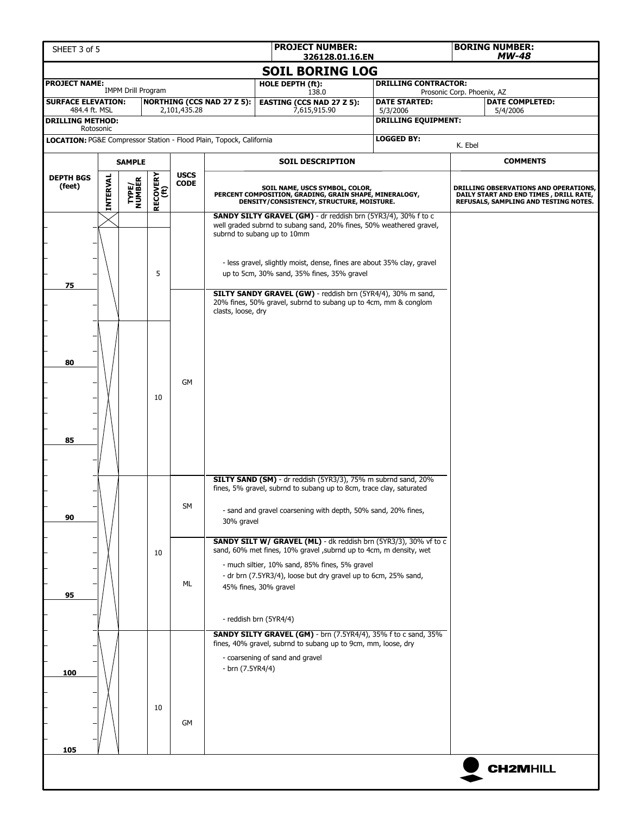| SHEET 3 of 5                                                        |          |                           |                  |                            |                                                                                                                                                                     | <b>PROJECT NUMBER:</b><br>326128.01.16.EN                                                                                                                                                                                                                                                                            |                                                                                                                                      | <b>BORING NUMBER:</b><br><b>MW-48</b> |                                                                                                                          |  |
|---------------------------------------------------------------------|----------|---------------------------|------------------|----------------------------|---------------------------------------------------------------------------------------------------------------------------------------------------------------------|----------------------------------------------------------------------------------------------------------------------------------------------------------------------------------------------------------------------------------------------------------------------------------------------------------------------|--------------------------------------------------------------------------------------------------------------------------------------|---------------------------------------|--------------------------------------------------------------------------------------------------------------------------|--|
|                                                                     |          |                           |                  |                            |                                                                                                                                                                     | <b>SOIL BORING LOG</b>                                                                                                                                                                                                                                                                                               |                                                                                                                                      |                                       |                                                                                                                          |  |
| <b>PROJECT NAME:</b>                                                |          | <b>IMPM Drill Program</b> |                  |                            |                                                                                                                                                                     | HOLE DEPTH (ft):<br>138.0                                                                                                                                                                                                                                                                                            | <b>DRILLING CONTRACTOR:</b>                                                                                                          | Prosonic Corp. Phoenix, AZ            |                                                                                                                          |  |
| <b>SURFACE ELEVATION:</b><br>484.4 ft. MSL                          |          |                           |                  | 2,101,435.28               | <b>NORTHING (CCS NAD 27 Z 5):</b>                                                                                                                                   | <b>EASTING (CCS NAD 27 Z 5):</b><br>7,615,915.90                                                                                                                                                                                                                                                                     | <b>DATE STARTED:</b><br>5/3/2006                                                                                                     |                                       | <b>DATE COMPLETED:</b><br>5/4/2006                                                                                       |  |
| <b>DRILLING METHOD:</b><br>Rotosonic                                |          |                           |                  |                            |                                                                                                                                                                     |                                                                                                                                                                                                                                                                                                                      | <b>DRILLING EQUIPMENT:</b>                                                                                                           |                                       |                                                                                                                          |  |
| LOCATION: PG&E Compressor Station - Flood Plain, Topock, California |          |                           |                  |                            |                                                                                                                                                                     |                                                                                                                                                                                                                                                                                                                      | <b>LOGGED BY:</b>                                                                                                                    | K. Ebel                               |                                                                                                                          |  |
| <b>SAMPLE</b>                                                       |          |                           |                  |                            |                                                                                                                                                                     | <b>SOIL DESCRIPTION</b>                                                                                                                                                                                                                                                                                              |                                                                                                                                      |                                       | <b>COMMENTS</b>                                                                                                          |  |
| <b>DEPTH BGS</b>                                                    |          |                           |                  | <b>USCS</b><br><b>CODE</b> |                                                                                                                                                                     |                                                                                                                                                                                                                                                                                                                      |                                                                                                                                      |                                       |                                                                                                                          |  |
| (feet)                                                              | INTERVAL | <b>TYPE/<br/>NUMBER</b>   | RECOVERY<br>(ft) |                            |                                                                                                                                                                     | SOIL NAME, USCS SYMBOL, COLOR,<br>PERCENT COMPOSITION, GRADING, GRAIN SHAPE, MINERALOGY,<br>DENSITY/CONSISTENCY, STRUCTURE, MOISTURE.                                                                                                                                                                                |                                                                                                                                      |                                       | DRILLING OBSERVATIONS AND OPERATIONS,<br>DAILY START AND END TIMES, DRILL RATE,<br>REFUSALS, SAMPLING AND TESTING NOTES. |  |
|                                                                     |          |                           |                  |                            | SANDY SILTY GRAVEL (GM) - dr reddish brn (5YR3/4), 30% f to c<br>well graded subrnd to subang sand, 20% fines, 50% weathered gravel,<br>subrnd to subang up to 10mm |                                                                                                                                                                                                                                                                                                                      |                                                                                                                                      |                                       |                                                                                                                          |  |
| 75                                                                  |          |                           | 5                |                            |                                                                                                                                                                     | - less gravel, slightly moist, dense, fines are about 35% clay, gravel<br>up to 5cm, 30% sand, 35% fines, 35% gravel                                                                                                                                                                                                 |                                                                                                                                      |                                       |                                                                                                                          |  |
|                                                                     |          |                           |                  |                            | clasts, loose, dry                                                                                                                                                  | SILTY SANDY GRAVEL (GW) - reddish brn (5YR4/4), 30% m sand,<br>20% fines, 50% gravel, subrnd to subang up to 4cm, mm & conglom                                                                                                                                                                                       |                                                                                                                                      |                                       |                                                                                                                          |  |
| 80                                                                  |          |                           | 10               | <b>GM</b>                  |                                                                                                                                                                     |                                                                                                                                                                                                                                                                                                                      |                                                                                                                                      |                                       |                                                                                                                          |  |
| 85                                                                  |          |                           |                  |                            |                                                                                                                                                                     | SILTY SAND (SM) - dr reddish (5YR3/3), 75% m subrnd sand, 20%                                                                                                                                                                                                                                                        |                                                                                                                                      |                                       |                                                                                                                          |  |
| 90                                                                  |          |                           |                  |                            | SM                                                                                                                                                                  | 30% gravel                                                                                                                                                                                                                                                                                                           | fines, 5% gravel, subrnd to subang up to 8cm, trace clay, saturated<br>- sand and gravel coarsening with depth, 50% sand, 20% fines, |                                       |                                                                                                                          |  |
| 95                                                                  |          |                           | 10               | ML                         |                                                                                                                                                                     | <b>SANDY SILT W/ GRAVEL (ML)</b> - dk reddish brn (5YR3/3), 30% vf to c<br>sand, 60% met fines, 10% gravel , subrnd up to 4cm, m density, wet<br>- much siltier, 10% sand, 85% fines, 5% gravel<br>- dr brn (7.5YR3/4), loose but dry gravel up to 6cm, 25% sand,<br>45% fines, 30% gravel<br>- reddish brn (5YR4/4) |                                                                                                                                      |                                       |                                                                                                                          |  |
| 100                                                                 |          |                           | 10               | GM                         | - brn (7.5YR4/4)                                                                                                                                                    | SANDY SILTY GRAVEL (GM) - brn (7.5YR4/4), 35% f to c sand, 35%<br>fines, 40% gravel, subrnd to subang up to 9cm, mm, loose, dry<br>- coarsening of sand and gravel                                                                                                                                                   |                                                                                                                                      |                                       |                                                                                                                          |  |
| 105                                                                 |          |                           |                  |                            |                                                                                                                                                                     |                                                                                                                                                                                                                                                                                                                      |                                                                                                                                      |                                       | <b>CH2MHILL</b>                                                                                                          |  |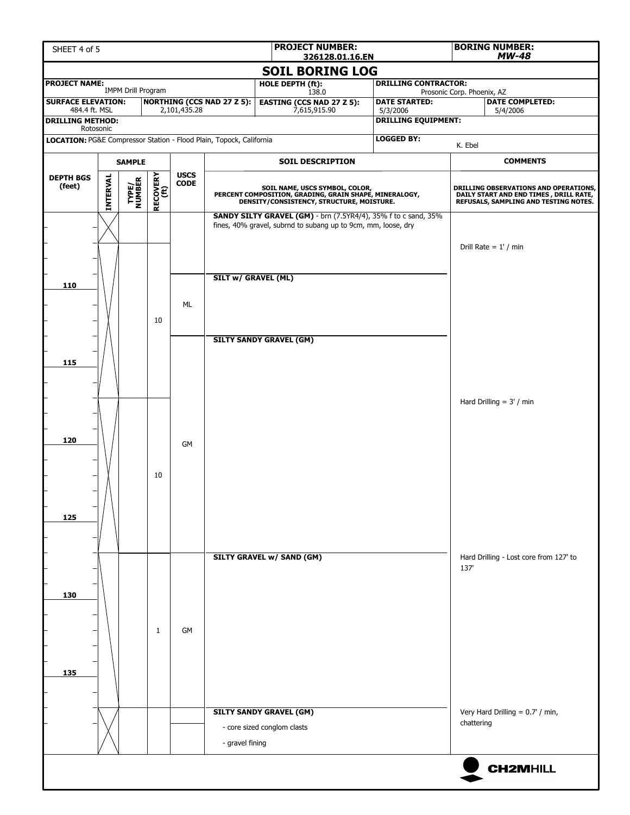| <b>PROJECT NUMBER:</b><br>SHEET 4 of 5<br>326128.01.16.EN                                                                                                                            |          |                           |                                                           |             |                                        |                                                                                                                                       |  |  |            | <b>BORING NUMBER:</b><br>MW-48                                                                                           |  |  |
|--------------------------------------------------------------------------------------------------------------------------------------------------------------------------------------|----------|---------------------------|-----------------------------------------------------------|-------------|----------------------------------------|---------------------------------------------------------------------------------------------------------------------------------------|--|--|------------|--------------------------------------------------------------------------------------------------------------------------|--|--|
| <b>SOIL BORING LOG</b>                                                                                                                                                               |          |                           |                                                           |             |                                        |                                                                                                                                       |  |  |            |                                                                                                                          |  |  |
| <b>PROJECT NAME:</b>                                                                                                                                                                 |          | <b>IMPM Drill Program</b> | <b>DRILLING CONTRACTOR:</b><br>Prosonic Corp. Phoenix, AZ |             |                                        |                                                                                                                                       |  |  |            |                                                                                                                          |  |  |
| 138.0<br><b>SURFACE ELEVATION:</b><br><b>NORTHING (CCS NAD 27 Z 5):</b><br><b>DATE STARTED:</b><br><b>EASTING (CCS NAD 27 Z 5):</b><br>7,615,915.90<br>484.4 ft. MSL<br>2,101,435.28 |          |                           |                                                           |             |                                        |                                                                                                                                       |  |  |            | <b>DATE COMPLETED:</b><br>5/4/2006                                                                                       |  |  |
| <b>DRILLING METHOD:</b>                                                                                                                                                              |          |                           |                                                           |             | 5/3/2006<br><b>DRILLING EQUIPMENT:</b> |                                                                                                                                       |  |  |            |                                                                                                                          |  |  |
| Rotosonic<br>LOCATION: PG&E Compressor Station - Flood Plain, Topock, California                                                                                                     |          |                           |                                                           |             |                                        |                                                                                                                                       |  |  |            |                                                                                                                          |  |  |
|                                                                                                                                                                                      |          |                           |                                                           |             |                                        |                                                                                                                                       |  |  | K. Ebel    | <b>COMMENTS</b>                                                                                                          |  |  |
| <b>DEPTH BGS</b>                                                                                                                                                                     |          | <b>SAMPLE</b>             |                                                           | <b>USCS</b> |                                        | <b>SOIL DESCRIPTION</b>                                                                                                               |  |  |            |                                                                                                                          |  |  |
| (feet)                                                                                                                                                                               | INTERVAL | TYPE/<br>NUMBER           | RECOVERY<br>(ft)                                          | <b>CODE</b> |                                        | SOIL NAME, USCS SYMBOL, COLOR,<br>PERCENT COMPOSITION, GRADING, GRAIN SHAPE, MINERALOGY,<br>DENSITY/CONSISTENCY, STRUCTURE, MOISTURE. |  |  |            | DRILLING OBSERVATIONS AND OPERATIONS,<br>DAILY START AND END TIMES, DRILL RATE,<br>REFUSALS, SAMPLING AND TESTING NOTES. |  |  |
|                                                                                                                                                                                      |          |                           |                                                           |             |                                        | SANDY SILTY GRAVEL (GM) - brn (7.5YR4/4), 35% f to c sand, 35%<br>fines, 40% gravel, subrnd to subang up to 9cm, mm, loose, dry       |  |  |            |                                                                                                                          |  |  |
|                                                                                                                                                                                      |          |                           |                                                           |             |                                        |                                                                                                                                       |  |  |            | Drill Rate = $1'$ / min                                                                                                  |  |  |
|                                                                                                                                                                                      |          |                           |                                                           |             |                                        |                                                                                                                                       |  |  |            |                                                                                                                          |  |  |
|                                                                                                                                                                                      |          |                           |                                                           |             | <b>SILT w/ GRAVEL (ML)</b>             |                                                                                                                                       |  |  |            |                                                                                                                          |  |  |
| 110                                                                                                                                                                                  |          |                           |                                                           |             |                                        |                                                                                                                                       |  |  |            |                                                                                                                          |  |  |
|                                                                                                                                                                                      |          |                           |                                                           | ML          |                                        |                                                                                                                                       |  |  |            |                                                                                                                          |  |  |
|                                                                                                                                                                                      |          |                           | 10                                                        |             |                                        |                                                                                                                                       |  |  |            |                                                                                                                          |  |  |
|                                                                                                                                                                                      |          |                           |                                                           |             |                                        | <b>SILTY SANDY GRAVEL (GM)</b>                                                                                                        |  |  |            |                                                                                                                          |  |  |
| 115                                                                                                                                                                                  |          |                           |                                                           |             |                                        |                                                                                                                                       |  |  |            |                                                                                                                          |  |  |
|                                                                                                                                                                                      |          |                           |                                                           |             |                                        |                                                                                                                                       |  |  |            |                                                                                                                          |  |  |
|                                                                                                                                                                                      |          |                           |                                                           |             |                                        |                                                                                                                                       |  |  |            | Hard Drilling $= 3' / min$                                                                                               |  |  |
|                                                                                                                                                                                      |          |                           |                                                           |             |                                        |                                                                                                                                       |  |  |            |                                                                                                                          |  |  |
| 120                                                                                                                                                                                  |          |                           |                                                           |             |                                        |                                                                                                                                       |  |  |            |                                                                                                                          |  |  |
|                                                                                                                                                                                      |          |                           |                                                           |             | <b>GM</b>                              |                                                                                                                                       |  |  |            |                                                                                                                          |  |  |
|                                                                                                                                                                                      |          |                           | 10                                                        |             |                                        |                                                                                                                                       |  |  |            |                                                                                                                          |  |  |
|                                                                                                                                                                                      |          |                           |                                                           |             |                                        |                                                                                                                                       |  |  |            |                                                                                                                          |  |  |
|                                                                                                                                                                                      |          |                           |                                                           |             |                                        |                                                                                                                                       |  |  |            |                                                                                                                          |  |  |
| 125                                                                                                                                                                                  |          |                           |                                                           |             |                                        |                                                                                                                                       |  |  |            |                                                                                                                          |  |  |
|                                                                                                                                                                                      |          |                           |                                                           |             |                                        |                                                                                                                                       |  |  |            |                                                                                                                          |  |  |
|                                                                                                                                                                                      |          |                           |                                                           |             |                                        | <b>SILTY GRAVEL w/ SAND (GM)</b>                                                                                                      |  |  |            | Hard Drilling - Lost core from 127' to                                                                                   |  |  |
|                                                                                                                                                                                      |          |                           |                                                           |             |                                        |                                                                                                                                       |  |  | 137        |                                                                                                                          |  |  |
| 130                                                                                                                                                                                  |          |                           |                                                           |             |                                        |                                                                                                                                       |  |  |            |                                                                                                                          |  |  |
|                                                                                                                                                                                      |          |                           |                                                           |             |                                        |                                                                                                                                       |  |  |            |                                                                                                                          |  |  |
|                                                                                                                                                                                      |          |                           | 1                                                         | GM          |                                        |                                                                                                                                       |  |  |            |                                                                                                                          |  |  |
|                                                                                                                                                                                      |          |                           |                                                           |             |                                        |                                                                                                                                       |  |  |            |                                                                                                                          |  |  |
|                                                                                                                                                                                      |          |                           |                                                           |             |                                        |                                                                                                                                       |  |  |            |                                                                                                                          |  |  |
| 135                                                                                                                                                                                  |          |                           |                                                           |             |                                        |                                                                                                                                       |  |  |            |                                                                                                                          |  |  |
|                                                                                                                                                                                      |          |                           |                                                           |             |                                        |                                                                                                                                       |  |  |            |                                                                                                                          |  |  |
|                                                                                                                                                                                      |          |                           |                                                           |             |                                        | <b>SILTY SANDY GRAVEL (GM)</b>                                                                                                        |  |  |            | Very Hard Drilling = 0.7' / min,                                                                                         |  |  |
|                                                                                                                                                                                      |          |                           |                                                           |             |                                        | - core sized conglom clasts                                                                                                           |  |  | chattering |                                                                                                                          |  |  |
|                                                                                                                                                                                      |          |                           |                                                           |             | - gravel fining                        |                                                                                                                                       |  |  |            |                                                                                                                          |  |  |
|                                                                                                                                                                                      |          |                           |                                                           |             |                                        |                                                                                                                                       |  |  |            | <b>CH2MHILL</b>                                                                                                          |  |  |
|                                                                                                                                                                                      |          |                           |                                                           |             |                                        |                                                                                                                                       |  |  |            |                                                                                                                          |  |  |